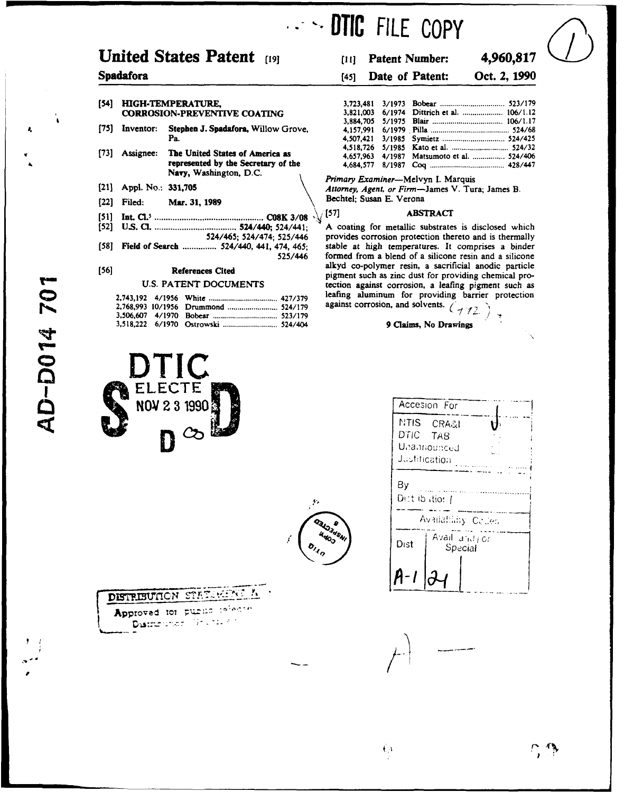## **United States Patent** [19] **iii]** Patent Number: **4,960,817**

### **[54]** HIGH-TEMPERATURE, **3,723,481 3/1973** Bobear **............................. 523/179 CORROSION-PREVENTIVE COATING**

- **[75]** Inventor: Stephen **J.** Spadafora, Willow Grove, **4,157,991 6/1979. Pilla ...................................... 524/68**
- **[73]** Assignee: The United States of America as  $$
- 
- (22] Filed: Mar. **31, 1989** Bechtel; Susan **E.** Verona
- **[51] Int. C1.** *................................................* **CO8K 3/08 , (57] ABSTRACT**
- 
- [58] Field of Search ................ 524/440, 441, 474, 465;

|  |  | leating aluminum for providing ba      |
|--|--|----------------------------------------|
|  |  | against corrosion, and solvents. $(7)$ |
|  |  |                                        |
|  |  | 9 Claims. No Drawings                  |







# **IDTIC FILE** COPY

## Spadafora (45] Date of Patent: Oct. 2, **1990**

| <b>PERATURE.</b>                    |  |                                            |
|-------------------------------------|--|--------------------------------------------|
| N-PREVENTIVE COATING                |  |                                            |
|                                     |  |                                            |
| Stephen J. Spadafora, Willow Grove. |  |                                            |
| Pa.                                 |  |                                            |
|                                     |  |                                            |
| The United States of America as     |  | 4,657,963 4/1987 Matsumoto et al.  524/406 |
| represented by the Secretary of the |  |                                            |

**Navy, Washington, D.C.** *Primary Examiner-Melvyn* **I.** Marquis (21] **Appl.** No.: **331,705** *Attorney, Agent, or* Firm-James V. Tura; James B.

**(52] U.S. C! ..................................... 524/440; 524/441; A coating for metallic substrates is disclosed which** provides corrosion protection thereto and is thermally stable at high temperatures. It comprises a binder **525/446 formed from a blend of a silicone resin and a silicone alkyd co-polymer resin, a** sacrificial anodic particle **[56] References Cited pigment such** as zinc dust for providing chemical pro-U.S. PATENT DOCUMENTS **tection** against corrosion, a leafing pigment such as leafing aluminum for providing barrier protection

| همقا                                             | Accesion For<br><b>NTIS</b><br>CRA&I<br>U<br>D'îlC<br>TAB<br>Unannounced<br>Justification |
|--------------------------------------------------|-------------------------------------------------------------------------------------------|
| $\mathbf{r}$                                     | By<br>Dict ib stion /                                                                     |
| <b>Q3L</b> O3dSNI<br>4000<br>$b_{\lambda_{q_0}}$ | Availability Coules<br>Avail and jor<br>Dist<br>Special                                   |
|                                                  |                                                                                           |

AD-D014 70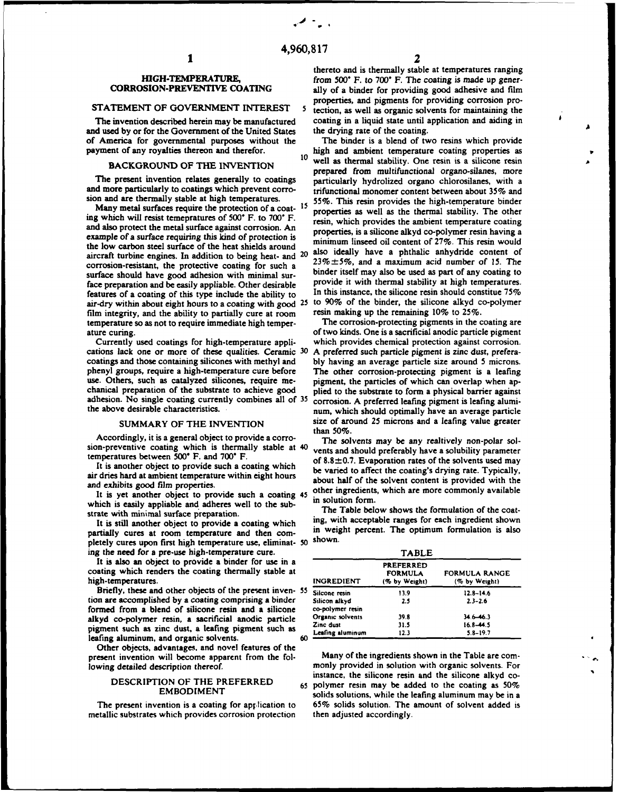and used by or for the Government of the United States the drying rate of the coating.<br>
of America for governmental purposes without the The binder is a blend of two resins which provide of America for governmental purposes without the payment of any royalties thereon and therefor.

and also protect the metal surface against corrosion. An **properties, is a silicone alkyd co-polymer resin having** a example of a surface requiring this kind of protection is **minimum linseed oil content of 27%**. This resin would the low carbon steel surface of the heat shields around corrosion-resistant, the protective coating for such a air-dry within about eight hours to a coating with good 25 film integrity, and the ability to partially cure at room resin making up the remaining **10%** to **25%.** temperature so as not to require immediate high temperature curing, of two kinds. One is a sacrificial anodic particle pigment

cations lack one or more of these qualities. Ceramic **30 A** preferred such particle pigment is zinc dust, preferacoatings and those containing silicones with methyl and **bly** having an average particle size around 5 microns. phenyl groups, require a high-temperature cure before The other corrosion-protecting pigment is a leafing use. Others, such as catalyzed silicones, require me- pigment, the particles of which can overlap when apchanical preparation of the substrate to achieve good plied to the substrate to form a physical barrier against adhesion. No single coating currently combines all of **35** corrosion. **A** preferred leafing pigment is leafing alumi-

Accordingly, it is a general object to provide a corro-<br>The solvents may be any realtively non-polar solsion-preventive coating which is thermally stable at **40** vents and should preferably have a solubility parameter

air dries hard at ambient temperature within eight hours about half of the solvent content is provided with the and exhibits good film properties.

which is easily appliable and adheres well to the sub-<br>**in solution form.**<br>The Table below shows the formulation of the coat-

It is still another object to provide a coating which partially cures at room temperature and then com- in weight percent. The optimum formulation is also pletely cures upon first high temperature use, eliminat- 50 ing the need for a pre-use high-temperature cure.

It is also an object to provide a binder for use in a coating which renders the coating thermally stable at  $high$ -temperatures.

Briefly, these and other objects of the present inven- 55 tion are accomplished by a coating comprising a binder  $\frac{1}{2}$ formed from a blend of silicone resin and a silicone alkyd co-polymer resin, a sacrificial anodic particle pigment such as zinc dust, a leafing pigment such as leafing aluminum, and organic solvents.

Other objects, advantages, and novel features of the present invention will become apparent from the fol- Many of the ingredients shown in the Table are corn-

metallic substrates which provides corrosion protection then adjusted accordingly.

thereto and is thermally stable at temperatures ranging **HIGH-TEMPERATURE,** from 500° F. to 700° F. The coating is made up gener-<br>CORROSION-PREVENTIVE COATING ally of a hinder for providing good adhesive and film ally of a binder for providing good adhesive and film properties, and pigments for providing corrosion pro- **STATEMENT** OF **GOVERNMENT** INTEREST **5** tection, as well as organic solvents for maintaining the The invention described herein may be manufactured coating in a liquid state until application and aiding in dused by or for the Government of the United States the drying rate of the coating.

ent of any royalties thereon and therefor. https://well.as thermal stability. One resin is a silicone resin **BACKGROUND OF THE INVENTION** well as thermal stability. One resin is a silicone resin prepared from multifunctional organo-silanes, more The present invention relates generally to coatings particularly hydrolized organo chlorosilanes, with a and more particularly to coatings which prevent corro-<br>trifunctional monomer content between about 35% and sion and are thermally stable at high temperatures. 55%. This resin provides the high-temperature binder Many metal surfaces require the protection of a coat- <sup>15</sup> **properties** as well as the thermal stability. The other ing **which** will **resist** temepratures **of 500" F. to 700" F.** resin, which provides the ambient temperature coating aircraft turbine engines. In addition to being heat- and 20 also ideally have a phthalic anhydride content of and arcraft turbine has  $23\% \pm 5\%$ , and a maximum acid number of 15. The surface should have good adhesion with minimal sur-<br>surface should have good adhesion with minimal sur-<br>face preparation and be easily annihible Other decirable provide it with thermal stability at high temperatures. face preparation and be easily appliable. Other desirable provide it with thermal stability at high temperatures.<br>
features of a coating of this type include the ability to In this instance, the silicone resin should const features of a coating of this type include the ability to In this instance, the silicone resin should constitue **75%**

Currently used coatings for high-temperature appli- which provides chemical protection against corrosion. the above desirable characteristics. The num, which should optimally have an average particle SUMMARY OF THE INVENTION size of around **25** microns and a leafing value greater **than 50%.**

temperatures between 500° **F.** and 700° **F.** of 8.8±0.7. Evaporation rates of the solvents used may It is another object to provide such a coating which be varied to affect the coating's drying rate. Typically, It is yet another object to provide such a coating 45 other ingredients, which are more commonly available<br>It is yet another object to provide such a coating 45 in solution form.

strate with minimal surface preparation.<br>It is still another object to provide a coating which ing, with acceptable ranges for each ingredient shown

| <b>TABLE</b>                      |                                                     |                                       |  |  |  |
|-----------------------------------|-----------------------------------------------------|---------------------------------------|--|--|--|
| <b>INGREDIENT</b>                 | <b>PREFERRED</b><br><b>FORMULA</b><br>(% by Weight) | <b>FORMULA RANGE</b><br>(% by Weight) |  |  |  |
| Silcone resin                     | 13.9                                                | $12.8 - 14.6$                         |  |  |  |
| Silicon alkyd<br>co-polymer resin | 2.5                                                 | $2.3 - 2.6$                           |  |  |  |
| Organic solvents                  | 39.8                                                | $34.6 - 46.3$                         |  |  |  |
| Zinc dust                         | 31.5                                                | $16.8 - 44.5$                         |  |  |  |
| Leafing aluminum                  | 12.3                                                | $5.8 - 19.7$                          |  |  |  |

lowing detailed description thereof. monly provided in solution with organic solvents. For instance, the silicone resin and the silicone alkyd co-<br>DESCRIPTION OF THE PREFERRED 65 polymer resin may be added to the coating as 50%<br>EMBODIMENT solide solutions while the leafing aluminum may be in a solids solutions, while the leafing aluminum may be in a The present invention is a coating for ap; lication to **65%** solids solution. The amount of solvent added is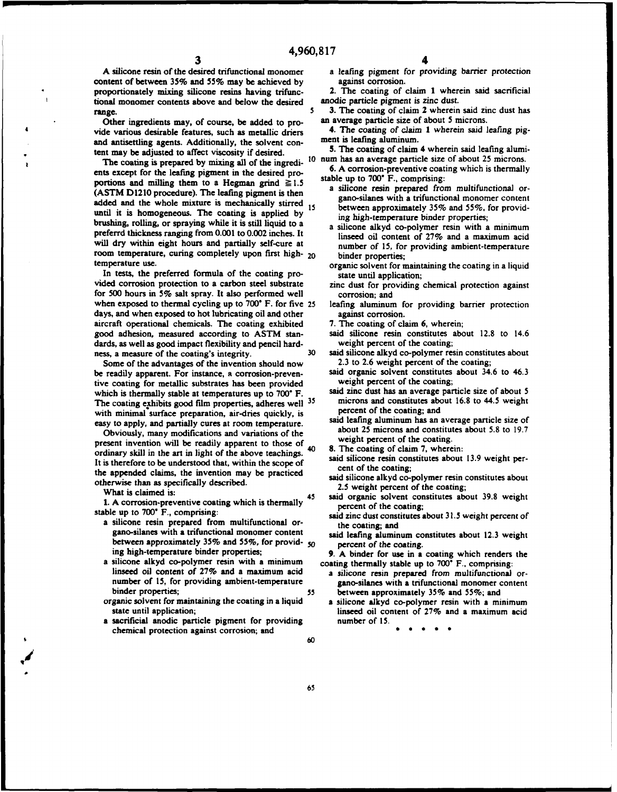A silicone resin of the desired trifunctional monomer a leafing pigment for providing barrier protection<br>ontent of between 35% and 55% may be achieved by against corrosion. content of between 35% and 55% may be achieved by proportionately mixing silicone resins having trifunc-<br>tional monomer contents above and below the desired anodic particle pigment is zinc dust. tional monomer contents above and below the desired

Other ingredients may, of course, be added to provide various desirable features, such as metallic driers 4. The coating of claim 1 wherein said leafing pig-<br>and antisettling agents. Additionally, the solvent con-<br>ment is leafing aluminum. and antisettling agents. Additionally, the solvent con-<br>tent may be adjusted to affect viscosity if desired<br>5. The coating of claim 4 wherein said leafing alumitent may be adjusted to affect viscosity if desired. **5.** The coating of claim 4 wherein said leafing alumi-

The coating is prepared **by** mixing all of the ingredi- **10** num has an average particle size of about 25 microns. ents except for the leafing pigment in the desired pro- **6. A** corrosion-preventive coating which is thermally ents except for the leafing pigment in the desired pro-<br>portions and milling them to a Hegman grind  $\geq 1.5$ <br>(ASTM D1210 procedure). The leafing pigment is then<br>(aSTM D1210 procedure). The leafing pigment is then<br>gano-si added and the whole mixture is mechanically stirred 15 between approximately 35% and 55%, for providuntil it is homogeneous. The coating is applied by  $\frac{1}{\log \log n}$  high-temperature binder properties; brushing, rolling, or spraying while it is still liquid to a a silicone alkyd co-polymer resin with a minimum preferrd thickness ranging from **0.001** to 0.002 inches. It linseed oil content of **27%** and a maximum acid will dry within eight hours and partially self-cure at number of 15, for providing ambient-temperature room temperature, curing completely upon first high- 20 binder properties; temperature use. The coating in a liquid of the coating the coating in a liquid

In tests, the preferred formula of the coating pro-<br>state until application; vided corrosion protection to a carbon steel substrate zinc dust for providing chemical protection against for **500** hours in **5%** salt spray. It also performed well corrosion; and when exposed to thermal cycling up to **700'** F. for five 25 leafing aluminum for providing barrier protection days, and when exposed to hot lubricating oil and other against corrosion. aircraft operational chemicals. The coating exhibited **7.** The coating of claim **6,** wherein; good adhesion, measured according to **ASTM** stan- said silicone resin constitutes about **12.8** to 14.6 dards, as well as good impact flexibility and pencil hard-<br>ness\_a\_meetine of the coating's integrity. 30 and silicone alkyd co-polymer re

Some of the advantages of the invention should now be readily apparent. For instance, a corrosion-preven-<br>tive coating for metallic substrates has been provided weight percent of the coating; tive coating for metallic substrates has been provided weight percent of the coating;<br>which is thermally stable at temperatures up to 700° F said zinc dust has an average particle size of about 5 which is thermally stable at temperatures up to **700° F.** Said zinc dust has an average particle size of about 5<br>The coating exhibits good film properties adheres well <sup>35</sup> microns and constitutes about 16.8 to 44.5 weight The coating exhibits good film properties, adheres well <sup>35</sup> microns and constitutes about the minimal surface preparation sindring and percent of the coating; and with minimal surface preparation, air-dries quickly, is percent of the coating; and<br>easy to angly and partially queet at room temperature said leafing aluminum has an average particle size of

Obviously, many modifications and variations of the about 25 microns and constitutions and constitution about **19.8 To 19.7** to the about **5.8** weight percent of the coating. present invention will be readily apparent to those of weight percent of the coating.<br>
cadinam shill in the set in light of the change together. 40 8. The coating of claim 7, wherein: ordinary skill in the art in light of the above teachings. 40 **8. The** coating of claim **7,** wherein: It is therefore to be understood that, within the scope of said silicone resin constitution of the coating: cent of the coating; the **appended claims, the invention may** be **practiced** said silicone alkyd co-polymer resin constitutes about otherwise than as specifically described. 2.5 weight percent of the coating;

**1. A corrosion-preventive coating which is thermally percent of the coating;** stable up to **700"** F., comprising: said zinc dust constitutes about **31.5** weight percent of

- a silicone resin prepared from multifunctional or- the coating; and gano-silanes with a trifunctional monomer content said leafing aluminum constitutes about **12.3** weight between approximately **35%** and **55%,** for provid- *50* percent of the coating. ing high-temperature binder properties; **9. A** binder for use in a coating which renders the
- a silicone alkyd co-polymer resin with a minimum coating thermally stable up to **700"** F., comprising: linseed oil content of **27%** and a maximum acid a silicone resin prepared from multifunctional or- number of **15,** for providing ambient-temperature gano-silanes with a trifunctional monomer content binder properties; **55** between approximately **35%** and **55%;** and
- organic solvent for maintaining the coating in a liquid a silicone alkyd co-polymer resin with a minimum state until application;<br>state until application;<br>state until application;
- sacrificial anodic particle pigment for providing number of 15. chemical protection against corrosion; and **0 0 0**  $\blacksquare$ **60**

- range.<br> **13. The coating of claim 2 wherein said zinc dust has**<br> **13. The coating of claim 2 wherein said zinc dust has**<br> **14. Other ingredients may.** of course, be added to pro-<br> **20. an average particle size of about 5 m** 
	-
	-
	- -
		-
		-
		-
		-
		-
		-
- ness, a measure of the coating's integrity. **30** said silicone alkyd co-polymer resin constitutes about<br>Some of the advantages of the invention should now 2.3 to 2.6 weight percent of the coating;
	-
	-
- easy to apply, and partially cures at room temperature.<br>
Said leafing aluminum has an average particle size of the about 25 microns and constitutes about 5.8 to 19.7
	-
	-
	-
	- What is claimed is:<br> **45** said organic solvent constitutes about 39.8 weight
		-
		-

- 
- linseed oil content of 27% and a maximum acid